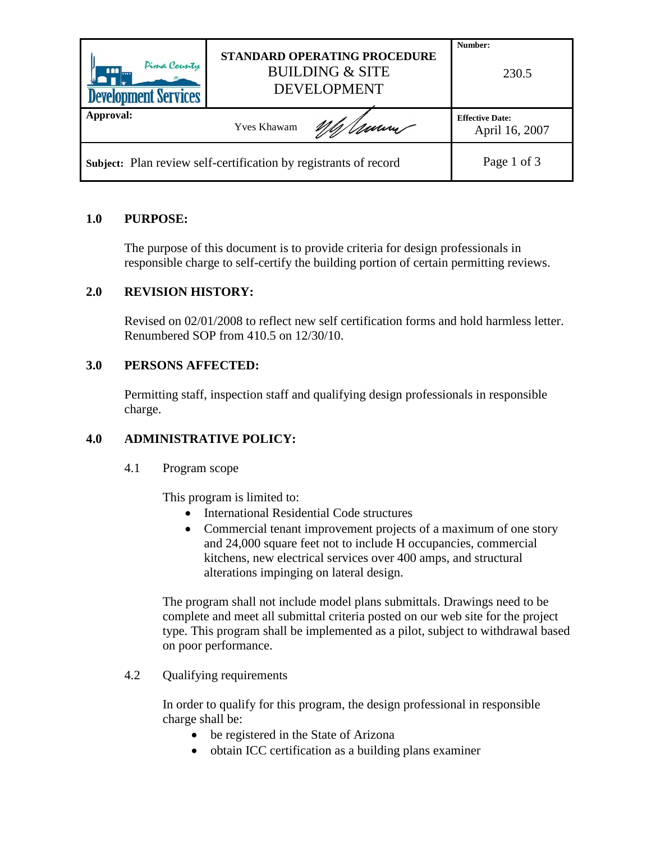| Pima County<br><u>nn</u><br><b>Development Services</b>          | STANDARD OPERATING PROCEDURE<br><b>BUILDING &amp; SITE</b><br><b>DEVELOPMENT</b> | Number:<br>230.5                         |
|------------------------------------------------------------------|----------------------------------------------------------------------------------|------------------------------------------|
| Approval:                                                        | Umm<br><b>Yves Khawam</b>                                                        | <b>Effective Date:</b><br>April 16, 2007 |
| Subject: Plan review self-certification by registrants of record |                                                                                  | Page 1 of 3                              |

# **1.0 PURPOSE:**

The purpose of this document is to provide criteria for design professionals in responsible charge to self-certify the building portion of certain permitting reviews.

# **2.0 REVISION HISTORY:**

Revised on 02/01/2008 to reflect new self certification forms and hold harmless letter. Renumbered SOP from 410.5 on 12/30/10.

## **3.0 PERSONS AFFECTED:**

Permitting staff, inspection staff and qualifying design professionals in responsible charge.

## **4.0 ADMINISTRATIVE POLICY:**

4.1 Program scope

This program is limited to:

- International Residential Code structures
- Commercial tenant improvement projects of a maximum of one story and 24,000 square feet not to include H occupancies, commercial kitchens, new electrical services over 400 amps, and structural alterations impinging on lateral design.

The program shall not include model plans submittals. Drawings need to be complete and meet all submittal criteria posted on our web site for the project type. This program shall be implemented as a pilot, subject to withdrawal based on poor performance.

4.2 Qualifying requirements

In order to qualify for this program, the design professional in responsible charge shall be:

- be registered in the State of Arizona
- obtain ICC certification as a building plans examiner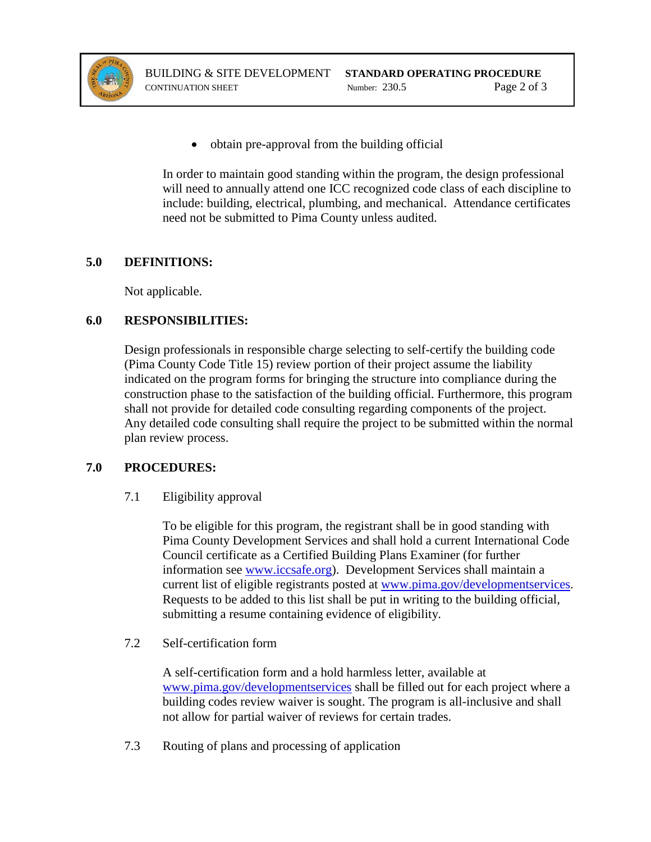

• obtain pre-approval from the building official

In order to maintain good standing within the program, the design professional will need to annually attend one ICC recognized code class of each discipline to include: building, electrical, plumbing, and mechanical. Attendance certificates need not be submitted to Pima County unless audited.

### **5.0 DEFINITIONS:**

Not applicable.

### **6.0 RESPONSIBILITIES:**

Design professionals in responsible charge selecting to self-certify the building code (Pima County Code Title 15) review portion of their project assume the liability indicated on the program forms for bringing the structure into compliance during the construction phase to the satisfaction of the building official. Furthermore, this program shall not provide for detailed code consulting regarding components of the project. Any detailed code consulting shall require the project to be submitted within the normal plan review process.

## **7.0 PROCEDURES:**

## 7.1 Eligibility approval

To be eligible for this program, the registrant shall be in good standing with Pima County Development Services and shall hold a current International Code Council certificate as a Certified Building Plans Examiner (for further information see [www.iccsafe.org\)](http://www.iccsafe.org/). Development Services shall maintain a current list of eligible registrants posted at [www.pima.gov/developmentservices.](http://www.pima.gov/developmentservices) Requests to be added to this list shall be put in writing to the building official, submitting a resume containing evidence of eligibility.

## 7.2 Self-certification form

A self-certification form and a hold harmless letter, available at [www.pima.gov/developmentservices](http://www.pima.gov/developmentservices) shall be filled out for each project where a building codes review waiver is sought. The program is all-inclusive and shall not allow for partial waiver of reviews for certain trades.

7.3 Routing of plans and processing of application